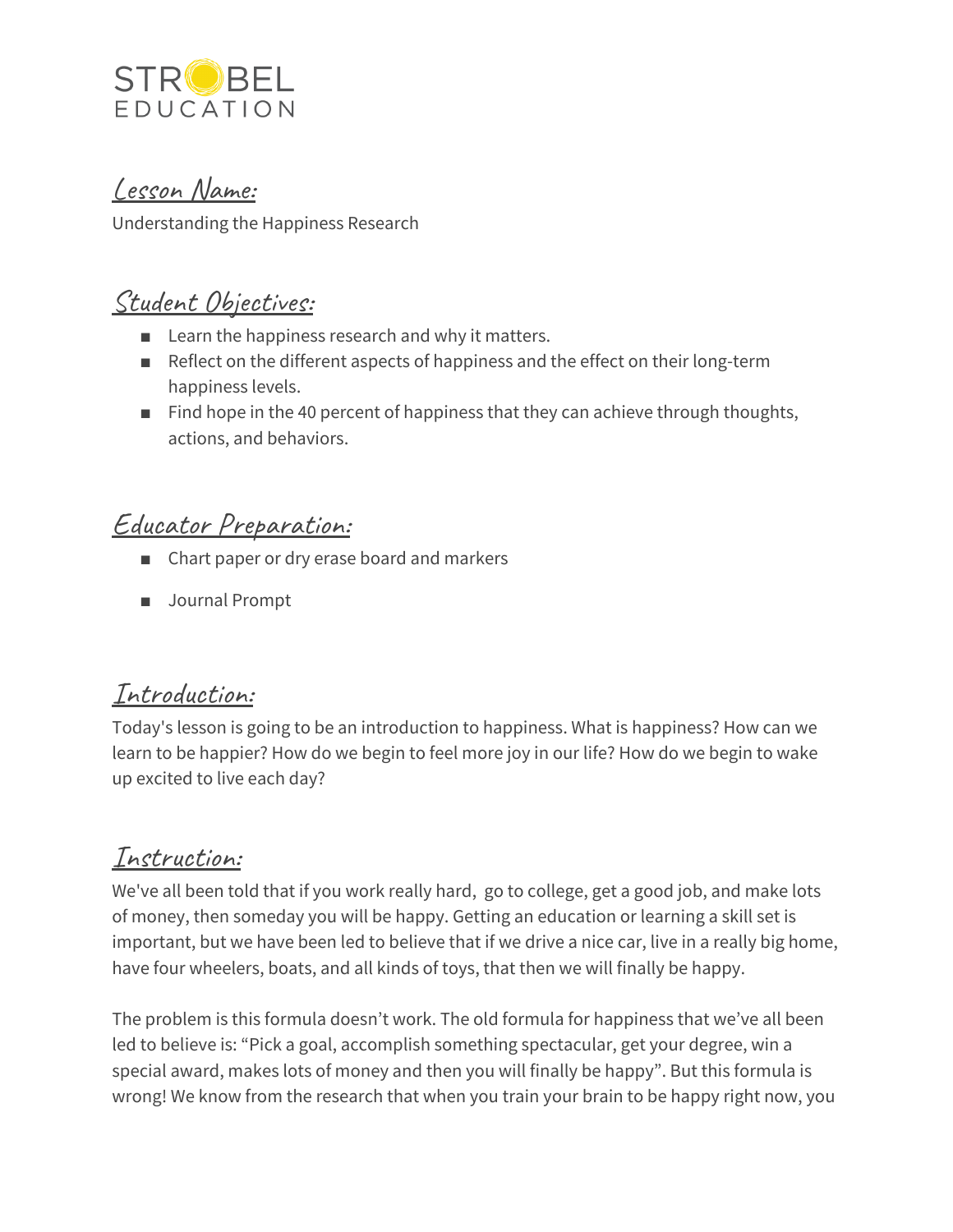

Lesson Name:

Understanding the Happiness Research

## Student Objectives:

- Learn the happiness research and why it matters.
- Reflect on the different aspects of happiness and the effect on their long-term happiness levels.
- Find hope in the 40 percent of happiness that they can achieve through thoughts, actions, and behaviors.

## Educator Preparation:

- Chart paper or dry erase board and markers
- Journal Prompt

### Introduction:

Today's lesson is going to be an introduction to happiness. What is happiness? How can we learn to be happier? How do we begin to feel more joy in our life? How do we begin to wake up excited to live each day?

#### Instruction:

We've all been told that if you work really hard, go to college, get a good job, and make lots of money, then someday you will be happy. Getting an education or learning a skill set is important, but we have been led to believe that if we drive a nice car, live in a really big home, have four wheelers, boats, and all kinds of toys, that then we will finally be happy.

The problem is this formula doesn't work. The old formula for happiness that we've all been led to believe is: "Pick a goal, accomplish something spectacular, get your degree, win a special award, makes lots of money and then you will finally be happy". But this formula is wrong! We know from the research that when you train your brain to be happy right now, you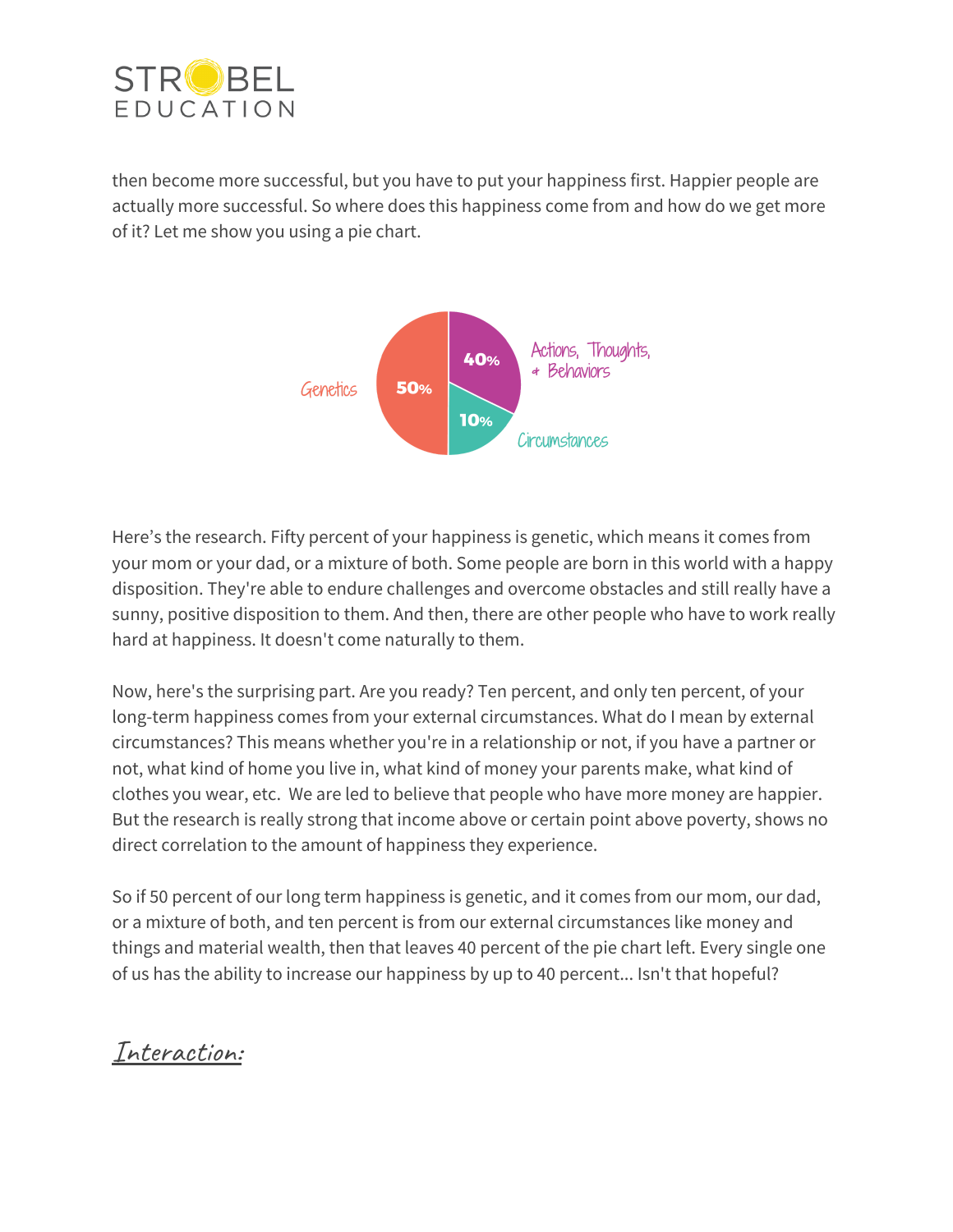

then become more successful, but you have to put your happiness first. Happier people are actually more successful. So where does this happiness come from and how do we get more of it? Let me show you using a pie chart.



Here's the research. Fifty percent of your happiness is genetic, which means it comes from your mom or your dad, or a mixture of both. Some people are born in this world with a happy disposition. They're able to endure challenges and overcome obstacles and still really have a sunny, positive disposition to them. And then, there are other people who have to work really hard at happiness. It doesn't come naturally to them.

Now, here's the surprising part. Are you ready? Ten percent, and only ten percent, of your long-term happiness comes from your external circumstances. What do I mean by external circumstances? This means whether you're in a relationship or not, if you have a partner or not, what kind of home you live in, what kind of money your parents make, what kind of clothes you wear, etc. We are led to believe that people who have more money are happier. But the research is really strong that income above or certain point above poverty, shows no direct correlation to the amount of happiness they experience.

So if 50 percent of our long term happiness is genetic, and it comes from our mom, our dad, or a mixture of both, and ten percent is from our external circumstances like money and things and material wealth, then that leaves 40 percent of the pie chart left. Every single one of us has the ability to increase our happiness by up to 40 percent... Isn't that hopeful?

Interaction: